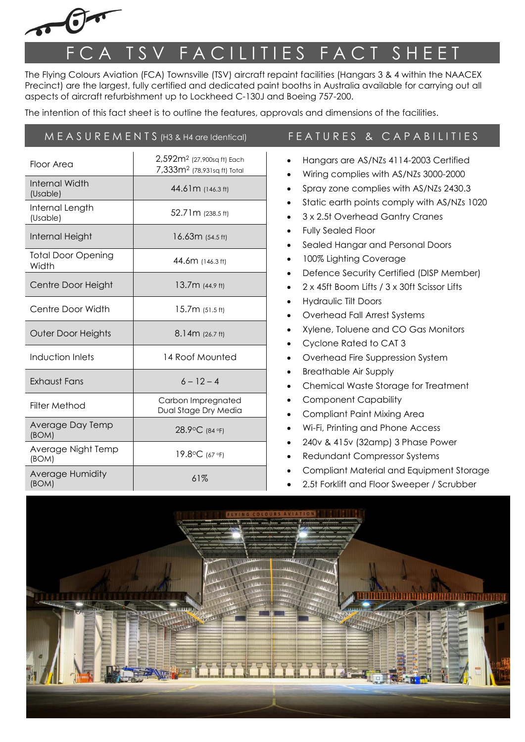

## F C A T S V F A C I LITIES F A C T S H E E T

The Flying Colours Aviation (FCA) Townsville (TSV) aircraft repaint facilities (Hangars 3 & 4 within the NAACEX Precinct) are the largest, fully certified and dedicated paint booths in Australia available for carrying out all aspects of aircraft refurbishment up to Lockheed C-130J and Boeing 757-200.

The intention of this fact sheet is to outline the features, approvals and dimensions of the facilities.

| $M E A S U R E M E N T S (H3 & H4)$ are Identical) |                                                                                   | FEATURES & CAPABILITIES                                                                                                                                                                                                                                                                                                                                                                                                                                                                                                                                                                                                                                                                                                                                                                                                                                                                                                                                                                                                                                                                                                                                                 |
|----------------------------------------------------|-----------------------------------------------------------------------------------|-------------------------------------------------------------------------------------------------------------------------------------------------------------------------------------------------------------------------------------------------------------------------------------------------------------------------------------------------------------------------------------------------------------------------------------------------------------------------------------------------------------------------------------------------------------------------------------------------------------------------------------------------------------------------------------------------------------------------------------------------------------------------------------------------------------------------------------------------------------------------------------------------------------------------------------------------------------------------------------------------------------------------------------------------------------------------------------------------------------------------------------------------------------------------|
| Floor Area                                         | 2,592m <sup>2</sup> (27,900sq ft) Each<br>7,333m <sup>2</sup> (78,931sq ft) Total | Hangars are AS/NZs 4114-2003 Certified<br>Wiring complies with AS/NZs 3000-2000<br>$\bullet$<br>Spray zone complies with AS/NZs 2430.3<br>$\bullet$<br>Static earth points comply with AS/NZs 1020<br>$\bullet$<br>3 x 2.5t Overhead Gantry Cranes<br>$\bullet$<br><b>Fully Sealed Floor</b><br>$\bullet$<br>Sealed Hangar and Personal Doors<br>$\bullet$<br>100% Lighting Coverage<br>$\bullet$<br>Defence Security Certified (DISP Member)<br>$\bullet$<br>2 x 45ft Boom Lifts / 3 x 30ft Scissor Lifts<br>$\bullet$<br><b>Hydraulic Tilt Doors</b><br>$\bullet$<br>Overhead Fall Arrest Systems<br>$\bullet$<br>Xylene, Toluene and CO Gas Monitors<br>$\bullet$<br>Cyclone Rated to CAT 3<br>$\bullet$<br>Overhead Fire Suppression System<br>$\bullet$<br><b>Breathable Air Supply</b><br>$\bullet$<br>Chemical Waste Storage for Treatment<br>$\bullet$<br><b>Component Capability</b><br><b>Compliant Paint Mixing Area</b><br>Wi-Fi, Printing and Phone Access<br>240v & 415v (32amp) 3 Phase Power<br>$\bullet$<br><b>Redundant Compressor Systems</b><br>$\bullet$<br>Compliant Material and Equipment Storage<br>2.5t Forklift and Floor Sweeper / Scrubber |
| <b>Internal Width</b><br>(Usable)                  | 44.61m (146.3 ft)                                                                 |                                                                                                                                                                                                                                                                                                                                                                                                                                                                                                                                                                                                                                                                                                                                                                                                                                                                                                                                                                                                                                                                                                                                                                         |
| Internal Length<br>(Usable)                        | 52.71m (238.5 ft)                                                                 |                                                                                                                                                                                                                                                                                                                                                                                                                                                                                                                                                                                                                                                                                                                                                                                                                                                                                                                                                                                                                                                                                                                                                                         |
| Internal Height                                    | 16.63m (54.5 ft)                                                                  |                                                                                                                                                                                                                                                                                                                                                                                                                                                                                                                                                                                                                                                                                                                                                                                                                                                                                                                                                                                                                                                                                                                                                                         |
| <b>Total Door Opening</b><br>Width                 | 44.6m (146.3 ft)                                                                  |                                                                                                                                                                                                                                                                                                                                                                                                                                                                                                                                                                                                                                                                                                                                                                                                                                                                                                                                                                                                                                                                                                                                                                         |
| Centre Door Height                                 | 13.7m (44.9 ft)                                                                   |                                                                                                                                                                                                                                                                                                                                                                                                                                                                                                                                                                                                                                                                                                                                                                                                                                                                                                                                                                                                                                                                                                                                                                         |
| Centre Door Width                                  | 15.7m (51.5 ft)                                                                   |                                                                                                                                                                                                                                                                                                                                                                                                                                                                                                                                                                                                                                                                                                                                                                                                                                                                                                                                                                                                                                                                                                                                                                         |
| Outer Door Heights                                 | 8.14m (26.7 ft)                                                                   |                                                                                                                                                                                                                                                                                                                                                                                                                                                                                                                                                                                                                                                                                                                                                                                                                                                                                                                                                                                                                                                                                                                                                                         |
| Induction Inlets                                   | 14 Roof Mounted                                                                   |                                                                                                                                                                                                                                                                                                                                                                                                                                                                                                                                                                                                                                                                                                                                                                                                                                                                                                                                                                                                                                                                                                                                                                         |
| <b>Exhaust Fans</b>                                | $6 - 12 - 4$                                                                      |                                                                                                                                                                                                                                                                                                                                                                                                                                                                                                                                                                                                                                                                                                                                                                                                                                                                                                                                                                                                                                                                                                                                                                         |
| <b>Filter Method</b>                               | Carbon Impregnated<br>Dual Stage Dry Media                                        |                                                                                                                                                                                                                                                                                                                                                                                                                                                                                                                                                                                                                                                                                                                                                                                                                                                                                                                                                                                                                                                                                                                                                                         |
| Average Day Temp<br>(BOM)                          | 28.9°C (84 °F)                                                                    |                                                                                                                                                                                                                                                                                                                                                                                                                                                                                                                                                                                                                                                                                                                                                                                                                                                                                                                                                                                                                                                                                                                                                                         |
| Average Night Temp<br>(BOM)                        | 19.8°C (67 °F)                                                                    |                                                                                                                                                                                                                                                                                                                                                                                                                                                                                                                                                                                                                                                                                                                                                                                                                                                                                                                                                                                                                                                                                                                                                                         |
| Average Humidity<br>(BOM)                          | 61%                                                                               |                                                                                                                                                                                                                                                                                                                                                                                                                                                                                                                                                                                                                                                                                                                                                                                                                                                                                                                                                                                                                                                                                                                                                                         |

2.5t Forklift and Floor Sweeper / Scrubber